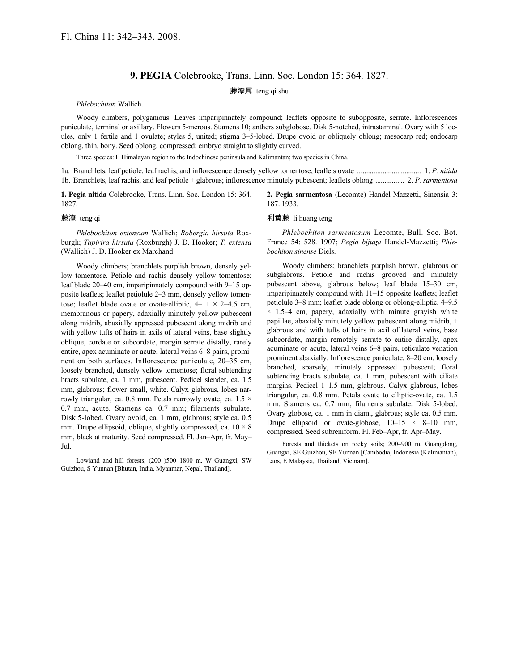## **9. PEGIA** Colebrooke, Trans. Linn. Soc. London 15: 364. 1827.

## 藤漆属 teng qi shu

*Phlebochiton* Wallich.

Woody climbers, polygamous. Leaves imparipinnately compound; leaflets opposite to subopposite, serrate. Inflorescences paniculate, terminal or axillary. Flowers 5-merous. Stamens 10; anthers subglobose. Disk 5-notched, intrastaminal. Ovary with 5 locules, only 1 fertile and 1 ovulate; styles 5, united; stigma 3–5-lobed. Drupe ovoid or obliquely oblong; mesocarp red; endocarp oblong, thin, bony. Seed oblong, compressed; embryo straight to slightly curved.

Three species: E Himalayan region to the Indochinese peninsula and Kalimantan; two species in China.

1a. Branchlets, leaf petiole, leaf rachis, and inflorescence densely yellow tomentose; leaflets ovate ................................... 1. *P. nitida* 1b. Branchlets, leaf rachis, and leaf petiole ± glabrous; inflorescence minutely pubescent; leaflets oblong ................ 2. *P. sarmentosa*

**1. Pegia nitida** Colebrooke, Trans. Linn. Soc. London 15: 364. 1827.

## 藤漆 teng qi

*Phlebochiton extensum* Wallich; *Robergia hirsuta* Roxburgh; *Tapirira hirsuta* (Roxburgh) J. D. Hooker; *T. extensa* (Wallich) J. D. Hooker ex Marchand.

Woody climbers; branchlets purplish brown, densely yellow tomentose. Petiole and rachis densely yellow tomentose; leaf blade 20–40 cm, imparipinnately compound with 9–15 opposite leaflets; leaflet petiolule 2–3 mm, densely yellow tomentose; leaflet blade ovate or ovate-elliptic,  $4-11 \times 2-4.5$  cm, membranous or papery, adaxially minutely yellow pubescent along midrib, abaxially appressed pubescent along midrib and with yellow tufts of hairs in axils of lateral veins, base slightly oblique, cordate or subcordate, margin serrate distally, rarely entire, apex acuminate or acute, lateral veins 6–8 pairs, prominent on both surfaces. Inflorescence paniculate, 20–35 cm, loosely branched, densely yellow tomentose; floral subtending bracts subulate, ca. 1 mm, pubescent. Pedicel slender, ca. 1.5 mm, glabrous; flower small, white. Calyx glabrous, lobes narrowly triangular, ca. 0.8 mm. Petals narrowly ovate, ca. 1.5 × 0.7 mm, acute. Stamens ca. 0.7 mm; filaments subulate. Disk 5-lobed. Ovary ovoid, ca. 1 mm, glabrous; style ca. 0.5 mm. Drupe ellipsoid, oblique, slightly compressed, ca.  $10 \times 8$ mm, black at maturity. Seed compressed. Fl. Jan–Apr, fr. May– Jul.

Lowland and hill forests; (200–)500–1800 m. W Guangxi, SW Guizhou, S Yunnan [Bhutan, India, Myanmar, Nepal, Thailand].

**2. Pegia sarmentosa** (Lecomte) Handel-Mazzetti, Sinensia 3: 187. 1933.

## 利黄藤 li huang teng

*Phlebochiton sarmentosum* Lecomte, Bull. Soc. Bot. France 54: 528. 1907; *Pegia bijuga* Handel-Mazzetti; *Phlebochiton sinense* Diels.

Woody climbers; branchlets purplish brown, glabrous or subglabrous. Petiole and rachis grooved and minutely pubescent above, glabrous below; leaf blade 15–30 cm, imparipinnately compound with 11–15 opposite leaflets; leaflet petiolule 3–8 mm; leaflet blade oblong or oblong-elliptic, 4–9.5  $\times$  1.5–4 cm, papery, adaxially with minute grayish white papillae, abaxially minutely yellow pubescent along midrib,  $\pm$ glabrous and with tufts of hairs in axil of lateral veins, base subcordate, margin remotely serrate to entire distally, apex acuminate or acute, lateral veins 6–8 pairs, reticulate venation prominent abaxially. Inflorescence paniculate, 8–20 cm, loosely branched, sparsely, minutely appressed pubescent; floral subtending bracts subulate, ca. 1 mm, pubescent with ciliate margins. Pedicel 1–1.5 mm, glabrous. Calyx glabrous, lobes triangular, ca. 0.8 mm. Petals ovate to elliptic-ovate, ca. 1.5 mm. Stamens ca. 0.7 mm; filaments subulate. Disk 5-lobed. Ovary globose, ca. 1 mm in diam., glabrous; style ca. 0.5 mm. Drupe ellipsoid or ovate-globose,  $10-15 \times 8-10$  mm, compressed. Seed subreniform. Fl. Feb–Apr, fr. Apr–May.

Forests and thickets on rocky soils; 200–900 m. Guangdong, Guangxi, SE Guizhou, SE Yunnan [Cambodia, Indonesia (Kalimantan), Laos, E Malaysia, Thailand, Vietnam].